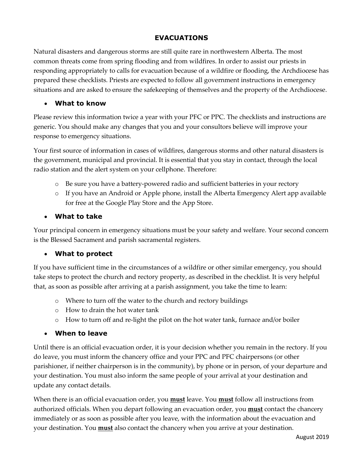## **EVACUATIONS**

Natural disasters and dangerous storms are still quite rare in northwestern Alberta. The most common threats come from spring flooding and from wildfires. In order to assist our priests in responding appropriately to calls for evacuation because of a wildfire or flooding, the Archdiocese has prepared these checklists. Priests are expected to follow all government instructions in emergency situations and are asked to ensure the safekeeping of themselves and the property of the Archdiocese.

#### • **What to know**

Please review this information twice a year with your PFC or PPC. The checklists and instructions are generic. You should make any changes that you and your consultors believe will improve your response to emergency situations.

Your first source of information in cases of wildfires, dangerous storms and other natural disasters is the government, municipal and provincial. It is essential that you stay in contact, through the local radio station and the alert system on your cellphone. Therefore:

- o Be sure you have a battery-powered radio and sufficient batteries in your rectory
- o If you have an Android or Apple phone, install the Alberta Emergency Alert app available for free at the Google Play Store and the App Store.

## • **What to take**

Your principal concern in emergency situations must be your safety and welfare. Your second concern is the Blessed Sacrament and parish sacramental registers.

## • **What to protect**

If you have sufficient time in the circumstances of a wildfire or other similar emergency, you should take steps to protect the church and rectory property, as described in the checklist. It is very helpful that, as soon as possible after arriving at a parish assignment, you take the time to learn:

- o Where to turn off the water to the church and rectory buildings
- o How to drain the hot water tank
- o How to turn off and re-light the pilot on the hot water tank, furnace and/or boiler

#### • **When to leave**

Until there is an official evacuation order, it is your decision whether you remain in the rectory. If you do leave, you must inform the chancery office and your PPC and PFC chairpersons (or other parishioner, if neither chairperson is in the community), by phone or in person, of your departure and your destination. You must also inform the same people of your arrival at your destination and update any contact details.

When there is an official evacuation order, you **must** leave. You **must** follow all instructions from authorized officials. When you depart following an evacuation order, you **must** contact the chancery immediately or as soon as possible after you leave, with the information about the evacuation and your destination. You **must** also contact the chancery when you arrive at your destination.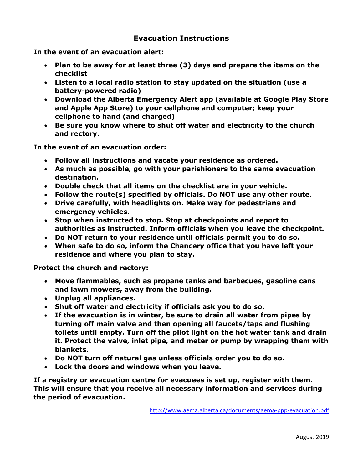# **Evacuation Instructions**

**In the event of an evacuation alert:**

- **Plan to be away for at least three (3) days and prepare the items on the checklist**
- **Listen to a local radio station to stay updated on the situation (use a battery-powered radio)**
- **Download the Alberta Emergency Alert app (available at Google Play Store and Apple App Store) to your cellphone and computer; keep your cellphone to hand (and charged)**
- **Be sure you know where to shut off water and electricity to the church and rectory.**

**In the event of an evacuation order:**

- **Follow all instructions and vacate your residence as ordered.**
- **As much as possible, go with your parishioners to the same evacuation destination.**
- **Double check that all items on the checklist are in your vehicle.**
- **Follow the route(s) specified by officials. Do NOT use any other route.**
- **Drive carefully, with headlights on. Make way for pedestrians and emergency vehicles.**
- **Stop when instructed to stop. Stop at checkpoints and report to authorities as instructed. Inform officials when you leave the checkpoint.**
- **Do NOT return to your residence until officials permit you to do so.**
- **When safe to do so, inform the Chancery office that you have left your residence and where you plan to stay.**

**Protect the church and rectory:**

- **Move flammables, such as propane tanks and barbecues, gasoline cans and lawn mowers, away from the building.**
- **Unplug all appliances.**
- **Shut off water and electricity if officials ask you to do so.**
- **If the evacuation is in winter, be sure to drain all water from pipes by turning off main valve and then opening all faucets/taps and flushing toilets until empty. Turn off the pilot light on the hot water tank and drain it. Protect the valve, inlet pipe, and meter or pump by wrapping them with blankets.**
- **Do NOT turn off natural gas unless officials order you to do so.**
- **Lock the doors and windows when you leave.**

**If a registry or evacuation centre for evacuees is set up, register with them. This will ensure that you receive all necessary information and services during the period of evacuation.** 

<http://www.aema.alberta.ca/documents/aema-ppp-evacuation.pdf>